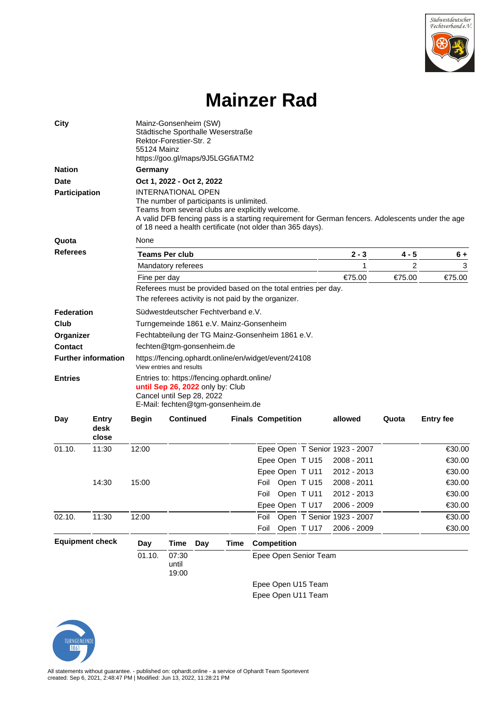

## **Mainzer Rad**

| <b>City</b>                                  |                        | Mainz-Gonsenheim (SW)<br>Städtische Sporthalle Weserstraße<br>Rektor-Forestier-Str. 2<br>55124 Mainz<br>https://goo.gl/maps/9J5LGGfiATM2                                                                                                                                                    |                         |     |             |                           |            |                                |       |                  |  |  |  |
|----------------------------------------------|------------------------|---------------------------------------------------------------------------------------------------------------------------------------------------------------------------------------------------------------------------------------------------------------------------------------------|-------------------------|-----|-------------|---------------------------|------------|--------------------------------|-------|------------------|--|--|--|
| <b>Nation</b>                                |                        | Germany                                                                                                                                                                                                                                                                                     |                         |     |             |                           |            |                                |       |                  |  |  |  |
| <b>Date</b>                                  |                        | Oct 1, 2022 - Oct 2, 2022                                                                                                                                                                                                                                                                   |                         |     |             |                           |            |                                |       |                  |  |  |  |
| <b>Participation</b>                         |                        | <b>INTERNATIONAL OPEN</b><br>The number of participants is unlimited.<br>Teams from several clubs are explicitly welcome.<br>A valid DFB fencing pass is a starting requirement for German fencers. Adolescents under the age<br>of 18 need a health certificate (not older than 365 days). |                         |     |             |                           |            |                                |       |                  |  |  |  |
| Quota                                        |                        | None                                                                                                                                                                                                                                                                                        |                         |     |             |                           |            |                                |       |                  |  |  |  |
| <b>Referees</b>                              |                        |                                                                                                                                                                                                                                                                                             | Teams Per club          |     |             | 2 - 3                     | 4 - 5      | $6+$                           |       |                  |  |  |  |
|                                              |                        |                                                                                                                                                                                                                                                                                             | Mandatory referees      |     |             |                           | 1          | 2                              | 3     |                  |  |  |  |
|                                              |                        | Fine per day                                                                                                                                                                                                                                                                                |                         |     |             | €75.00                    | €75.00     | €75.00                         |       |                  |  |  |  |
|                                              |                        | Referees must be provided based on the total entries per day.<br>The referees activity is not paid by the organizer.                                                                                                                                                                        |                         |     |             |                           |            |                                |       |                  |  |  |  |
| <b>Federation</b>                            |                        | Südwestdeutscher Fechtverband e.V.                                                                                                                                                                                                                                                          |                         |     |             |                           |            |                                |       |                  |  |  |  |
| Club                                         |                        | Turngemeinde 1861 e.V. Mainz-Gonsenheim                                                                                                                                                                                                                                                     |                         |     |             |                           |            |                                |       |                  |  |  |  |
| Organizer                                    |                        | Fechtabteilung der TG Mainz-Gonsenheim 1861 e.V.                                                                                                                                                                                                                                            |                         |     |             |                           |            |                                |       |                  |  |  |  |
| <b>Contact</b>                               |                        | fechten@tgm-gonsenheim.de                                                                                                                                                                                                                                                                   |                         |     |             |                           |            |                                |       |                  |  |  |  |
| <b>Further information</b><br><b>Entries</b> |                        | https://fencing.ophardt.online/en/widget/event/24108<br>View entries and results                                                                                                                                                                                                            |                         |     |             |                           |            |                                |       |                  |  |  |  |
|                                              |                        | Entries to: https://fencing.ophardt.online/<br>until Sep 26, 2022 only by: Club<br>Cancel until Sep 28, 2022<br>E-Mail: fechten@tgm-gonsenheim.de                                                                                                                                           |                         |     |             |                           |            |                                |       |                  |  |  |  |
| Day                                          | Entry<br>desk<br>close | <b>Begin</b>                                                                                                                                                                                                                                                                                | <b>Continued</b>        |     |             | <b>Finals Competition</b> |            | allowed                        | Quota | <b>Entry fee</b> |  |  |  |
| 01.10.                                       | 11:30                  | 12:00                                                                                                                                                                                                                                                                                       |                         |     |             |                           |            | Epee Open T Senior 1923 - 2007 |       | €30.00           |  |  |  |
|                                              |                        |                                                                                                                                                                                                                                                                                             |                         |     |             | Epee Open T U15           |            | 2008 - 2011                    |       | €30.00           |  |  |  |
|                                              |                        |                                                                                                                                                                                                                                                                                             |                         |     |             | Epee Open T U11           |            | 2012 - 2013                    |       | €30.00           |  |  |  |
|                                              | 14:30                  | 15:00                                                                                                                                                                                                                                                                                       |                         |     |             | Foil Open T U15           |            | 2008 - 2011                    |       | €30.00           |  |  |  |
|                                              |                        |                                                                                                                                                                                                                                                                                             |                         |     |             | Foil Open T U11           |            | 2012 - 2013                    |       | €30.00           |  |  |  |
|                                              |                        |                                                                                                                                                                                                                                                                                             |                         |     |             | Epee Open T U17           |            | 2006 - 2009                    |       | €30.00           |  |  |  |
| 02.10.                                       | 11:30                  | 12:00                                                                                                                                                                                                                                                                                       |                         |     |             | Foil                      |            | Open T Senior 1923 - 2007      |       | €30.00           |  |  |  |
|                                              |                        |                                                                                                                                                                                                                                                                                             |                         |     |             | Foil                      | Open T U17 | 2006 - 2009                    |       | €30.00           |  |  |  |
| <b>Equipment check</b>                       |                        | Day                                                                                                                                                                                                                                                                                         | <b>Time</b>             | Day | <b>Time</b> | <b>Competition</b>        |            |                                |       |                  |  |  |  |
|                                              |                        | 01.10.                                                                                                                                                                                                                                                                                      | 07:30<br>until<br>19:00 |     |             | Epee Open Senior Team     |            |                                |       |                  |  |  |  |
|                                              |                        |                                                                                                                                                                                                                                                                                             |                         |     |             | Epee Open U15 Team        |            |                                |       |                  |  |  |  |
|                                              |                        |                                                                                                                                                                                                                                                                                             |                         |     |             |                           |            |                                |       |                  |  |  |  |

Epee Open U11 Team

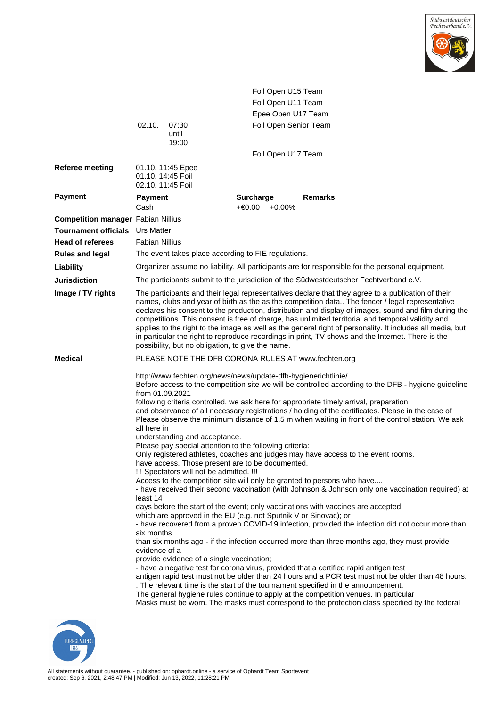

|                                           |                                                                                                                                                                                                                                                                                                                                                                                                                                                                                                                                                                                                                                                                                            |                                                                                                                        | Foil Open U15 Team                                                                                                                                                                                                                                |                                                                                                                                                                                                                                                                                                                                                                                                                                                                                                                                                                                                                                                                                                                                                                                                                                                                                                                                                                                                                                                                                                                                                                                                                                                                                                                                                                                                                                                         |  |  |  |  |  |  |
|-------------------------------------------|--------------------------------------------------------------------------------------------------------------------------------------------------------------------------------------------------------------------------------------------------------------------------------------------------------------------------------------------------------------------------------------------------------------------------------------------------------------------------------------------------------------------------------------------------------------------------------------------------------------------------------------------------------------------------------------------|------------------------------------------------------------------------------------------------------------------------|---------------------------------------------------------------------------------------------------------------------------------------------------------------------------------------------------------------------------------------------------|---------------------------------------------------------------------------------------------------------------------------------------------------------------------------------------------------------------------------------------------------------------------------------------------------------------------------------------------------------------------------------------------------------------------------------------------------------------------------------------------------------------------------------------------------------------------------------------------------------------------------------------------------------------------------------------------------------------------------------------------------------------------------------------------------------------------------------------------------------------------------------------------------------------------------------------------------------------------------------------------------------------------------------------------------------------------------------------------------------------------------------------------------------------------------------------------------------------------------------------------------------------------------------------------------------------------------------------------------------------------------------------------------------------------------------------------------------|--|--|--|--|--|--|
|                                           |                                                                                                                                                                                                                                                                                                                                                                                                                                                                                                                                                                                                                                                                                            |                                                                                                                        | Foil Open U11 Team                                                                                                                                                                                                                                |                                                                                                                                                                                                                                                                                                                                                                                                                                                                                                                                                                                                                                                                                                                                                                                                                                                                                                                                                                                                                                                                                                                                                                                                                                                                                                                                                                                                                                                         |  |  |  |  |  |  |
|                                           |                                                                                                                                                                                                                                                                                                                                                                                                                                                                                                                                                                                                                                                                                            |                                                                                                                        | Epee Open U17 Team                                                                                                                                                                                                                                |                                                                                                                                                                                                                                                                                                                                                                                                                                                                                                                                                                                                                                                                                                                                                                                                                                                                                                                                                                                                                                                                                                                                                                                                                                                                                                                                                                                                                                                         |  |  |  |  |  |  |
|                                           | 02.10.                                                                                                                                                                                                                                                                                                                                                                                                                                                                                                                                                                                                                                                                                     | 07:30                                                                                                                  | Foil Open Senior Team                                                                                                                                                                                                                             |                                                                                                                                                                                                                                                                                                                                                                                                                                                                                                                                                                                                                                                                                                                                                                                                                                                                                                                                                                                                                                                                                                                                                                                                                                                                                                                                                                                                                                                         |  |  |  |  |  |  |
|                                           |                                                                                                                                                                                                                                                                                                                                                                                                                                                                                                                                                                                                                                                                                            | until<br>19:00                                                                                                         |                                                                                                                                                                                                                                                   |                                                                                                                                                                                                                                                                                                                                                                                                                                                                                                                                                                                                                                                                                                                                                                                                                                                                                                                                                                                                                                                                                                                                                                                                                                                                                                                                                                                                                                                         |  |  |  |  |  |  |
|                                           |                                                                                                                                                                                                                                                                                                                                                                                                                                                                                                                                                                                                                                                                                            |                                                                                                                        | Foil Open U17 Team                                                                                                                                                                                                                                |                                                                                                                                                                                                                                                                                                                                                                                                                                                                                                                                                                                                                                                                                                                                                                                                                                                                                                                                                                                                                                                                                                                                                                                                                                                                                                                                                                                                                                                         |  |  |  |  |  |  |
| <b>Referee meeting</b>                    | 01.10. 14:45 Foil<br>02.10. 11:45 Foil                                                                                                                                                                                                                                                                                                                                                                                                                                                                                                                                                                                                                                                     | 01.10. 11:45 Epee                                                                                                      |                                                                                                                                                                                                                                                   |                                                                                                                                                                                                                                                                                                                                                                                                                                                                                                                                                                                                                                                                                                                                                                                                                                                                                                                                                                                                                                                                                                                                                                                                                                                                                                                                                                                                                                                         |  |  |  |  |  |  |
| <b>Payment</b>                            | Payment<br>Cash                                                                                                                                                                                                                                                                                                                                                                                                                                                                                                                                                                                                                                                                            |                                                                                                                        | <b>Surcharge</b><br>+€0.00<br>$+0.00\%$                                                                                                                                                                                                           | <b>Remarks</b>                                                                                                                                                                                                                                                                                                                                                                                                                                                                                                                                                                                                                                                                                                                                                                                                                                                                                                                                                                                                                                                                                                                                                                                                                                                                                                                                                                                                                                          |  |  |  |  |  |  |
| <b>Competition manager Fabian Nillius</b> |                                                                                                                                                                                                                                                                                                                                                                                                                                                                                                                                                                                                                                                                                            |                                                                                                                        |                                                                                                                                                                                                                                                   |                                                                                                                                                                                                                                                                                                                                                                                                                                                                                                                                                                                                                                                                                                                                                                                                                                                                                                                                                                                                                                                                                                                                                                                                                                                                                                                                                                                                                                                         |  |  |  |  |  |  |
| <b>Tournament officials</b>               | <b>Urs Matter</b>                                                                                                                                                                                                                                                                                                                                                                                                                                                                                                                                                                                                                                                                          |                                                                                                                        |                                                                                                                                                                                                                                                   |                                                                                                                                                                                                                                                                                                                                                                                                                                                                                                                                                                                                                                                                                                                                                                                                                                                                                                                                                                                                                                                                                                                                                                                                                                                                                                                                                                                                                                                         |  |  |  |  |  |  |
| <b>Head of referees</b>                   | <b>Fabian Nillius</b>                                                                                                                                                                                                                                                                                                                                                                                                                                                                                                                                                                                                                                                                      |                                                                                                                        |                                                                                                                                                                                                                                                   |                                                                                                                                                                                                                                                                                                                                                                                                                                                                                                                                                                                                                                                                                                                                                                                                                                                                                                                                                                                                                                                                                                                                                                                                                                                                                                                                                                                                                                                         |  |  |  |  |  |  |
| <b>Rules and legal</b>                    |                                                                                                                                                                                                                                                                                                                                                                                                                                                                                                                                                                                                                                                                                            |                                                                                                                        | The event takes place according to FIE regulations.                                                                                                                                                                                               |                                                                                                                                                                                                                                                                                                                                                                                                                                                                                                                                                                                                                                                                                                                                                                                                                                                                                                                                                                                                                                                                                                                                                                                                                                                                                                                                                                                                                                                         |  |  |  |  |  |  |
| Liability                                 |                                                                                                                                                                                                                                                                                                                                                                                                                                                                                                                                                                                                                                                                                            |                                                                                                                        |                                                                                                                                                                                                                                                   | Organizer assume no liability. All participants are for responsible for the personal equipment.                                                                                                                                                                                                                                                                                                                                                                                                                                                                                                                                                                                                                                                                                                                                                                                                                                                                                                                                                                                                                                                                                                                                                                                                                                                                                                                                                         |  |  |  |  |  |  |
| <b>Jurisdiction</b>                       |                                                                                                                                                                                                                                                                                                                                                                                                                                                                                                                                                                                                                                                                                            |                                                                                                                        |                                                                                                                                                                                                                                                   | The participants submit to the jurisdiction of the Südwestdeutscher Fechtverband e.V.                                                                                                                                                                                                                                                                                                                                                                                                                                                                                                                                                                                                                                                                                                                                                                                                                                                                                                                                                                                                                                                                                                                                                                                                                                                                                                                                                                   |  |  |  |  |  |  |
| Image / TV rights                         | The participants and their legal representatives declare that they agree to a publication of their<br>names, clubs and year of birth as the as the competition data The fencer / legal representative<br>declares his consent to the production, distribution and display of images, sound and film during the<br>competitions. This consent is free of charge, has unlimited territorial and temporal validity and<br>applies to the right to the image as well as the general right of personality. It includes all media, but<br>in particular the right to reproduce recordings in print, TV shows and the Internet. There is the<br>possibility, but no obligation, to give the name. |                                                                                                                        |                                                                                                                                                                                                                                                   |                                                                                                                                                                                                                                                                                                                                                                                                                                                                                                                                                                                                                                                                                                                                                                                                                                                                                                                                                                                                                                                                                                                                                                                                                                                                                                                                                                                                                                                         |  |  |  |  |  |  |
| <b>Medical</b>                            |                                                                                                                                                                                                                                                                                                                                                                                                                                                                                                                                                                                                                                                                                            |                                                                                                                        | PLEASE NOTE THE DFB CORONA RULES AT www.fechten.org                                                                                                                                                                                               |                                                                                                                                                                                                                                                                                                                                                                                                                                                                                                                                                                                                                                                                                                                                                                                                                                                                                                                                                                                                                                                                                                                                                                                                                                                                                                                                                                                                                                                         |  |  |  |  |  |  |
|                                           | from 01.09.2021<br>all here in<br>least 14<br>six months<br>evidence of a                                                                                                                                                                                                                                                                                                                                                                                                                                                                                                                                                                                                                  | understanding and acceptance.<br>!!! Spectators will not be admitted. !!!<br>provide evidence of a single vaccination; | http://www.fechten.org/news/news/update-dfb-hygienerichtlinie/<br>Please pay special attention to the following criteria:<br>have access. Those present are to be documented.<br>which are approved in the EU (e.g. not Sputnik V or Sinovac); or | Before access to the competition site we will be controlled according to the DFB - hygiene guideline<br>following criteria controlled, we ask here for appropriate timely arrival, preparation<br>and observance of all necessary registrations / holding of the certificates. Please in the case of<br>Please observe the minimum distance of 1.5 m when waiting in front of the control station. We ask<br>Only registered athletes, coaches and judges may have access to the event rooms.<br>Access to the competition site will only be granted to persons who have<br>- have received their second vaccination (with Johnson & Johnson only one vaccination required) at<br>days before the start of the event; only vaccinations with vaccines are accepted,<br>- have recovered from a proven COVID-19 infection, provided the infection did not occur more than<br>than six months ago - if the infection occurred more than three months ago, they must provide<br>- have a negative test for corona virus, provided that a certified rapid antigen test<br>antigen rapid test must not be older than 24 hours and a PCR test must not be older than 48 hours.<br>. The relevant time is the start of the tournament specified in the announcement.<br>The general hygiene rules continue to apply at the competition venues. In particular<br>Masks must be worn. The masks must correspond to the protection class specified by the federal |  |  |  |  |  |  |